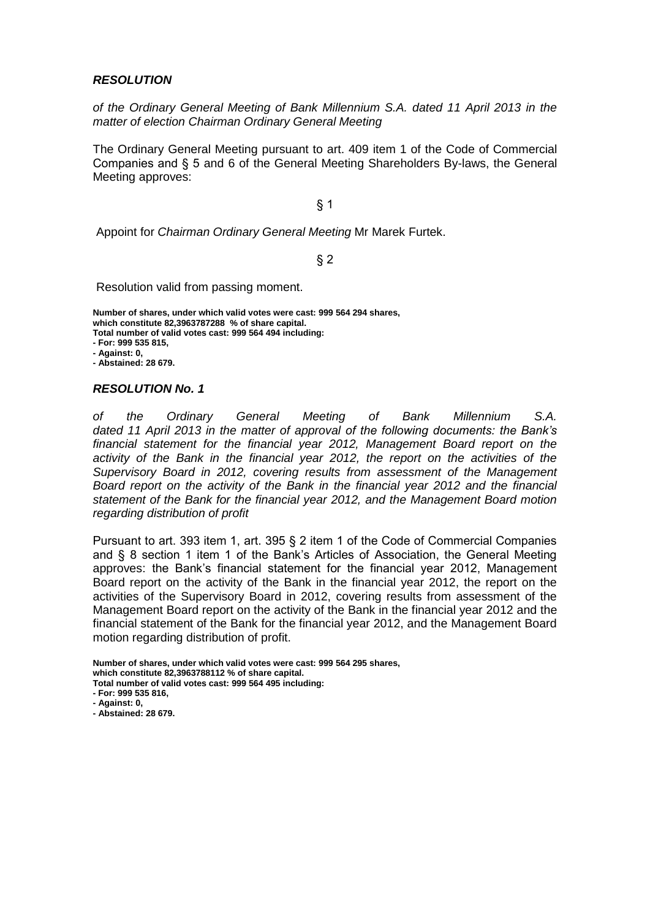#### *RESOLUTION*

*of the Ordinary General Meeting of Bank Millennium S.A. dated 11 April 2013 in the matter of election Chairman Ordinary General Meeting*

The Ordinary General Meeting pursuant to art. 409 item 1 of the Code of Commercial Companies and § 5 and 6 of the General Meeting Shareholders By-laws, the General Meeting approves:

§ 1

Appoint for *Chairman Ordinary General Meeting* Mr Marek Furtek.

§ 2

Resolution valid from passing moment.

**Number of shares, under which valid votes were cast: 999 564 294 shares, which constitute 82,3963787288 % of share capital. Total number of valid votes cast: 999 564 494 including: - For: 999 535 815, - Against: 0,**

**- Abstained: 28 679.**

#### *RESOLUTION No. 1*

*of the Ordinary General Meeting of Bank Millennium S.A. dated 11 April 2013 in the matter of approval of the following documents: the Bank's financial statement for the financial year 2012, Management Board report on the activity of the Bank in the financial year 2012, the report on the activities of the Supervisory Board in 2012, covering results from assessment of the Management Board report on the activity of the Bank in the financial year 2012 and the financial statement of the Bank for the financial year 2012, and the Management Board motion regarding distribution of profit*

Pursuant to art. 393 item 1, art. 395 § 2 item 1 of the Code of Commercial Companies and § 8 section 1 item 1 of the Bank's Articles of Association, the General Meeting approves: the Bank's financial statement for the financial year 2012, Management Board report on the activity of the Bank in the financial year 2012, the report on the activities of the Supervisory Board in 2012, covering results from assessment of the Management Board report on the activity of the Bank in the financial year 2012 and the financial statement of the Bank for the financial year 2012, and the Management Board motion regarding distribution of profit.

**Number of shares, under which valid votes were cast: 999 564 295 shares, which constitute 82,3963788112 % of share capital. Total number of valid votes cast: 999 564 495 including:**

- **- For: 999 535 816,**
- **- Against: 0,**

**- Abstained: 28 679.**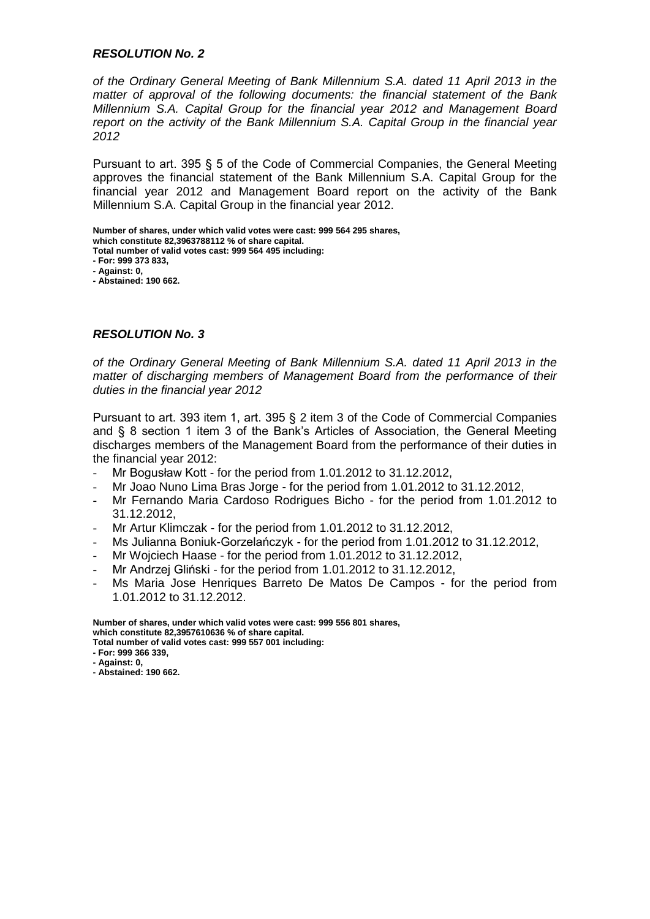*of the Ordinary General Meeting of Bank Millennium S.A. dated 11 April 2013 in the matter of approval of the following documents: the financial statement of the Bank Millennium S.A. Capital Group for the financial year 2012 and Management Board report on the activity of the Bank Millennium S.A. Capital Group in the financial year 2012*

Pursuant to art. 395 § 5 of the Code of Commercial Companies, the General Meeting approves the financial statement of the Bank Millennium S.A. Capital Group for the financial year 2012 and Management Board report on the activity of the Bank Millennium S.A. Capital Group in the financial year 2012.

**Number of shares, under which valid votes were cast: 999 564 295 shares, which constitute 82,3963788112 % of share capital.**

**Total number of valid votes cast: 999 564 495 including:**

**- For: 999 373 833,**

**- Against: 0,**

**- Abstained: 190 662.**

# *RESOLUTION No. 3*

*of the Ordinary General Meeting of Bank Millennium S.A. dated 11 April 2013 in the matter of discharging members of Management Board from the performance of their duties in the financial year 2012*

Pursuant to art. 393 item 1, art. 395 § 2 item 3 of the Code of Commercial Companies and § 8 section 1 item 3 of the Bank's Articles of Association, the General Meeting discharges members of the Management Board from the performance of their duties in the financial year 2012:

- Mr Bogusław Kott for the period from 1.01.2012 to 31.12.2012,
- Mr Joao Nuno Lima Bras Jorge for the period from 1.01.2012 to 31.12.2012.
- Mr Fernando Maria Cardoso Rodrigues Bicho for the period from 1.01.2012 to 31.12.2012,
- Mr Artur Klimczak for the period from 1.01.2012 to 31.12.2012,
- Ms Julianna Boniuk-Gorzelańczyk for the period from 1.01.2012 to 31.12.2012,
- Mr Wojciech Haase for the period from 1.01.2012 to 31.12.2012,
- Mr Andrzej Gliński for the period from 1.01.2012 to 31.12.2012,
- Ms Maria Jose Henriques Barreto De Matos De Campos for the period from 1.01.2012 to 31.12.2012.

**Number of shares, under which valid votes were cast: 999 556 801 shares, which constitute 82,3957610636 % of share capital. Total number of valid votes cast: 999 557 001 including:**

- **- For: 999 366 339,**
- **- Against: 0,**
- **- Abstained: 190 662.**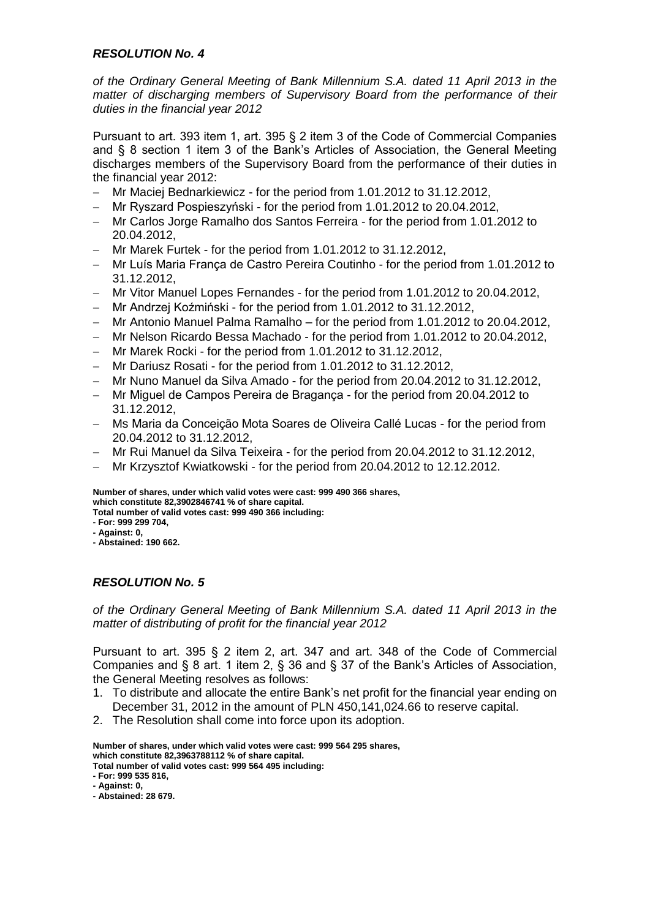*of the Ordinary General Meeting of Bank Millennium S.A. dated 11 April 2013 in the matter of discharging members of Supervisory Board from the performance of their duties in the financial year 2012*

Pursuant to art. 393 item 1, art. 395 § 2 item 3 of the Code of Commercial Companies and § 8 section 1 item 3 of the Bank's Articles of Association, the General Meeting discharges members of the Supervisory Board from the performance of their duties in the financial year 2012:

- Mr Maciej Bednarkiewicz for the period from 1.01.2012 to 31.12.2012,
- Mr Ryszard Pospieszyński for the period from 1.01.2012 to 20.04.2012,
- Mr Carlos Jorge Ramalho dos Santos Ferreira for the period from 1.01.2012 to 20.04.2012,
- Mr Marek Furtek for the period from 1.01.2012 to 31.12.2012,
- Mr Luís Maria França de Castro Pereira Coutinho for the period from 1.01.2012 to 31.12.2012,
- Mr Vitor Manuel Lopes Fernandes for the period from 1.01.2012 to 20.04.2012,
- Mr Andrzej Koźmiński for the period from 1.01.2012 to 31.12.2012,
- Mr Antonio Manuel Palma Ramalho for the period from 1.01.2012 to 20.04.2012,
- Mr Nelson Ricardo Bessa Machado for the period from 1.01.2012 to 20.04.2012,
- Mr Marek Rocki for the period from 1.01.2012 to 31.12.2012,
- Mr Dariusz Rosati for the period from 1.01.2012 to 31.12.2012,
- Mr Nuno Manuel da Silva Amado for the period from 20.04.2012 to 31.12.2012,
- Mr Miguel de Campos Pereira de Bragança for the period from 20.04.2012 to 31.12.2012,
- Ms Maria da Conceição Mota Soares de Oliveira Callé Lucas for the period from 20.04.2012 to 31.12.2012,
- Mr Rui Manuel da Silva Teixeira for the period from 20.04.2012 to 31.12.2012,
- Mr Krzysztof Kwiatkowski for the period from 20.04.2012 to 12.12.2012.

**Number of shares, under which valid votes were cast: 999 490 366 shares, which constitute 82,3902846741 % of share capital. Total number of valid votes cast: 999 490 366 including:**

- **- For: 999 299 704,**
- **- Against: 0,**
- **- Abstained: 190 662.**

# *RESOLUTION No. 5*

*of the Ordinary General Meeting of Bank Millennium S.A. dated 11 April 2013 in the matter of distributing of profit for the financial year 2012*

Pursuant to art. 395 § 2 item 2, art. 347 and art. 348 of the Code of Commercial Companies and § 8 art. 1 item 2, § 36 and § 37 of the Bank's Articles of Association, the General Meeting resolves as follows:

- 1. To distribute and allocate the entire Bank's net profit for the financial year ending on December 31, 2012 in the amount of PLN 450,141,024.66 to reserve capital.
- 2. The Resolution shall come into force upon its adoption.

**Number of shares, under which valid votes were cast: 999 564 295 shares, which constitute 82,3963788112 % of share capital.**

**Total number of valid votes cast: 999 564 495 including:**

**<sup>-</sup> For: 999 535 816,**

**<sup>-</sup> Against: 0,**

**<sup>-</sup> Abstained: 28 679.**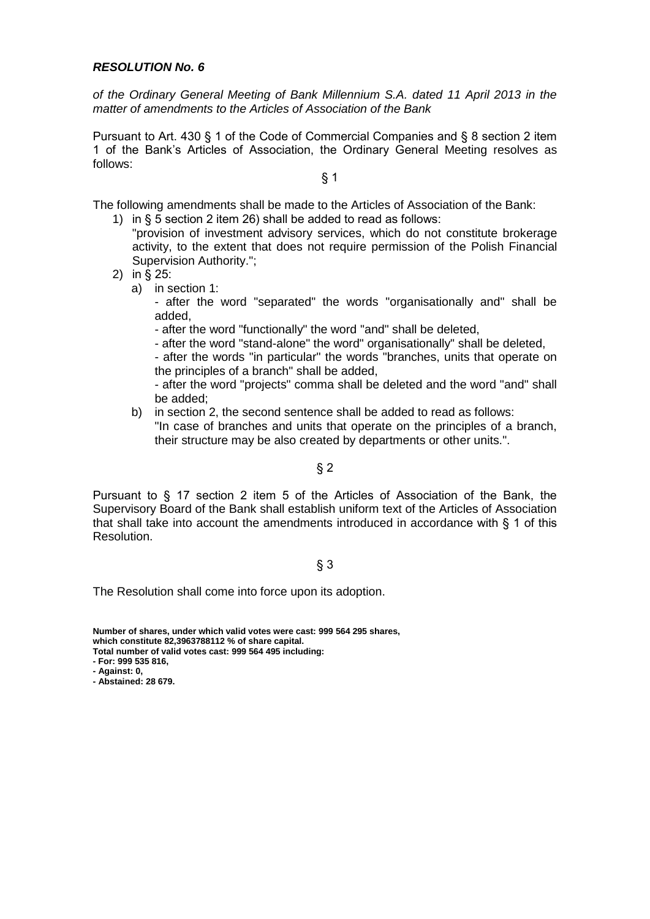*of the Ordinary General Meeting of Bank Millennium S.A. dated 11 April 2013 in the matter of amendments to the Articles of Association of the Bank*

Pursuant to Art. 430 § 1 of the Code of Commercial Companies and § 8 section 2 item 1 of the Bank's Articles of Association, the Ordinary General Meeting resolves as follows:

§ 1

The following amendments shall be made to the Articles of Association of the Bank:

- 1) in § 5 section 2 item 26) shall be added to read as follows: "provision of investment advisory services, which do not constitute brokerage
- activity, to the extent that does not require permission of the Polish Financial Supervision Authority.";
- 2) in § 25:
	- a) in section 1:
		- after the word "separated" the words "organisationally and" shall be added,
		- after the word "functionally" the word "and" shall be deleted,
		- after the word "stand-alone" the word" organisationally" shall be deleted,

- after the words "in particular" the words "branches, units that operate on the principles of a branch" shall be added,

- after the word "projects" comma shall be deleted and the word "and" shall be added;

b) in section 2, the second sentence shall be added to read as follows: "In case of branches and units that operate on the principles of a branch, their structure may be also created by departments or other units.".

# $§$  2

Pursuant to § 17 section 2 item 5 of the Articles of Association of the Bank, the Supervisory Board of the Bank shall establish uniform text of the Articles of Association that shall take into account the amendments introduced in accordance with § 1 of this Resolution.

# § 3

The Resolution shall come into force upon its adoption.

**Number of shares, under which valid votes were cast: 999 564 295 shares, which constitute 82,3963788112 % of share capital.**

**Total number of valid votes cast: 999 564 495 including:**

**- For: 999 535 816,**

**- Against: 0,**

**- Abstained: 28 679.**